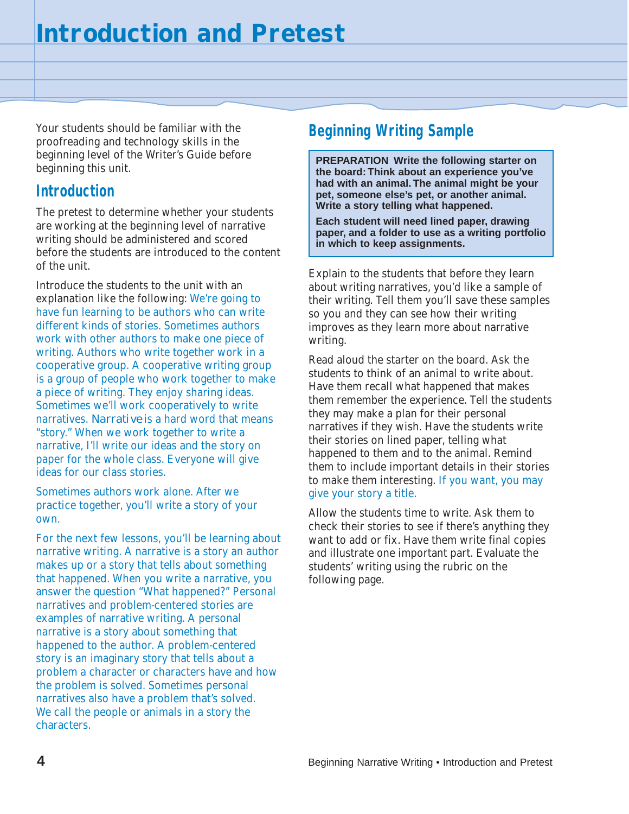Your students should be familiar with the proofreading and technology skills in the beginning level of the Writer's Guide before beginning this unit.

## **Introduction**

The pretest to determine whether your students are working at the beginning level of narrative writing should be administered and scored before the students are introduced to the content of the unit.

Introduce the students to the unit with an explanation like the following: We're going to have fun learning to be authors who can write different kinds of stories. Sometimes authors work with other authors to make one piece of writing. Authors who write together work in a cooperative group. A cooperative writing group is a group of people who work together to make a piece of writing. They enjoy sharing ideas. Sometimes we'll work cooperatively to write narratives. *Narrative* is a hard word that means "story." When we work together to write a narrative, I'll write our ideas and the story on paper for the whole class. Everyone will give ideas for our class stories.

Sometimes authors work alone. After we practice together, you'll write a story of your own.

For the next few lessons, you'll be learning about narrative writing. A narrative is a story an author makes up or a story that tells about something that happened. When you write a narrative, you answer the question "What happened?" Personal narratives and problem-centered stories are examples of narrative writing. A personal narrative is a story about something that happened to the author. A problem-centered story is an imaginary story that tells about a problem a character or characters have and how the problem is solved. Sometimes personal narratives also have a problem that's solved. We call the people or animals in a story the characters.

## **Beginning Writing Sample**

**PREPARATION Write the following starter on the board: Think about an experience you've had with an animal. The animal might be your pet, someone else's pet, or another animal. Write a story telling what happened.**

**Each student will need lined paper, drawing paper, and a folder to use as a writing portfolio in which to keep assignments.**

Explain to the students that before they learn about writing narratives, you'd like a sample of their writing. Tell them you'll save these samples so you and they can see how their writing improves as they learn more about narrative writing.

Read aloud the starter on the board. Ask the students to think of an animal to write about. Have them recall what happened that makes them remember the experience. Tell the students they may make a plan for their personal narratives if they wish. Have the students write their stories on lined paper, telling what happened to them and to the animal. Remind them to include important details in their stories to make them interesting. If you want, you may give your story a title.

Allow the students time to write. Ask them to check their stories to see if there's anything they want to add or fix. Have them write final copies and illustrate one important part. Evaluate the students' writing using the rubric on the following page.